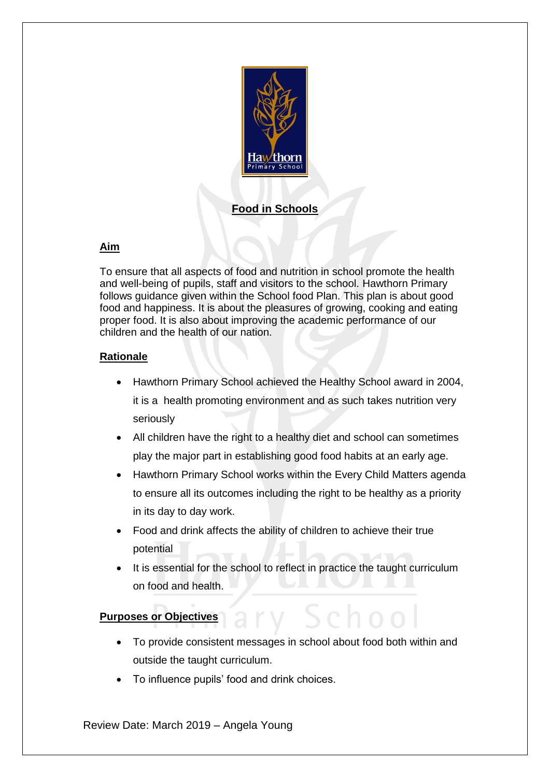

# **Food in Schools**

# **Aim**

To ensure that all aspects of food and nutrition in school promote the health and well-being of pupils, staff and visitors to the school. Hawthorn Primary follows guidance given within the School food Plan. This plan is about good food and happiness. It is about the pleasures of growing, cooking and eating proper food. It is also about improving the academic performance of our children and the health of our nation.

#### **Rationale**

- Hawthorn Primary School achieved the Healthy School award in 2004, it is a health promoting environment and as such takes nutrition very seriously
- All children have the right to a healthy diet and school can sometimes play the major part in establishing good food habits at an early age.
- Hawthorn Primary School works within the Every Child Matters agenda to ensure all its outcomes including the right to be healthy as a priority in its day to day work.
- Food and drink affects the ability of children to achieve their true potential
- It is essential for the school to reflect in practice the taught curriculum on food and health.

## **Purposes or Objectives**

- To provide consistent messages in school about food both within and outside the taught curriculum.
- To influence pupils' food and drink choices.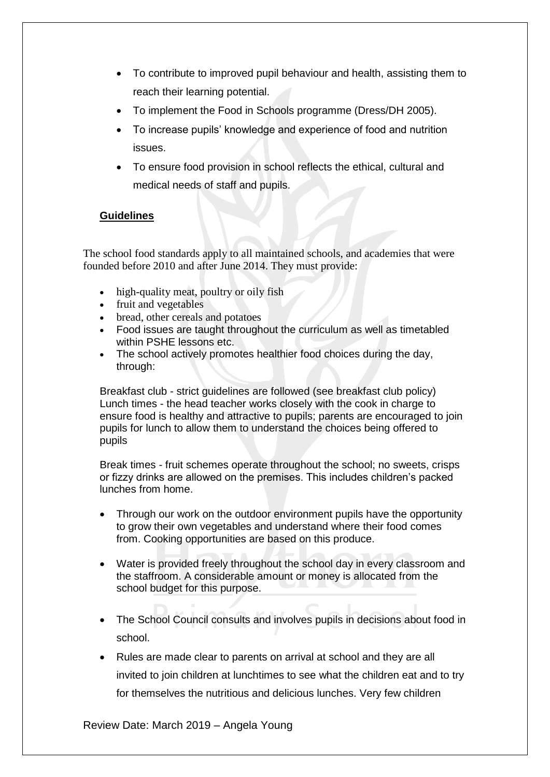- To contribute to improved pupil behaviour and health, assisting them to reach their learning potential.
- To implement the Food in Schools programme (Dress/DH 2005).
- To increase pupils' knowledge and experience of food and nutrition issues.
- To ensure food provision in school reflects the ethical, cultural and medical needs of staff and pupils.

## **Guidelines**

The school food standards apply to all maintained schools, and academies that were founded before 2010 and after June 2014. They must provide:

- high-quality meat, poultry or oily fish
- fruit and vegetables
- bread, other cereals and potatoes
- Food issues are taught throughout the curriculum as well as timetabled within PSHE lessons etc.
- The school actively promotes healthier food choices during the day, through:

Breakfast club - strict guidelines are followed (see breakfast club policy) Lunch times - the head teacher works closely with the cook in charge to ensure food is healthy and attractive to pupils; parents are encouraged to join pupils for lunch to allow them to understand the choices being offered to pupils

Break times - fruit schemes operate throughout the school; no sweets, crisps or fizzy drinks are allowed on the premises. This includes children's packed lunches from home.

- Through our work on the outdoor environment pupils have the opportunity to grow their own vegetables and understand where their food comes from. Cooking opportunities are based on this produce.
- Water is provided freely throughout the school day in every classroom and the staffroom. A considerable amount or money is allocated from the school budget for this purpose.
- The School Council consults and involves pupils in decisions about food in school.
- Rules are made clear to parents on arrival at school and they are all invited to join children at lunchtimes to see what the children eat and to try for themselves the nutritious and delicious lunches. Very few children

Review Date: March 2019 – Angela Young